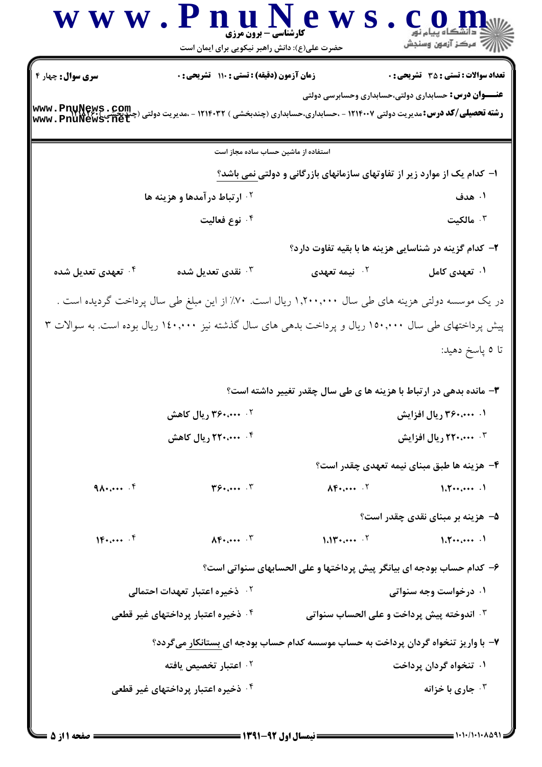|                                | www.PnuNews<br>کارشناسی- برون مرزی<br>حضرت علی(ع): دانش راهبر نیکویی برای ایمان است                     |                                                                          | ڪ دانشگاه پيام نور<br>  /> مرکز آزمون وسنڊش  |
|--------------------------------|---------------------------------------------------------------------------------------------------------|--------------------------------------------------------------------------|----------------------------------------------|
| <b>سری سوال:</b> چهار ۴        | زمان آزمون (دقیقه) : تستی : ۱۱۰ تشریحی : ۰                                                              |                                                                          | <b>تعداد سوالات : تستی : 35 ٪ تشریحی : 0</b> |
| www.PnuNews.com                | <b>رشته تحصیلی/کد درس:</b> مدیریت دولتی ۱۲۱۴۰۰۷ - ،حسابداری،حسابداری (چندبخشی ) ۱۲۱۴۰۳۲ - ،مدیریت دولتی | <b>عنـــوان درس:</b> حسابداری دولتی،حسابداری وحسابرسی دولتی              |                                              |
|                                | استفاده از ماشین حساب ساده مجاز است                                                                     |                                                                          |                                              |
|                                |                                                                                                         | ا– کدام یک از موارد زیر از تفاوتهای سازمانهای بازرگانی و دولتی نمی باشد؟ |                                              |
|                                | <sup>۲.</sup> ارتباط درآمدها و هزینه ها                                                                 |                                                                          | ۰۱ هدف                                       |
|                                | ۰۴ نوع فعالیت                                                                                           |                                                                          | ا مالکیت $\cdot$                             |
|                                |                                                                                                         | ۲- کدام گزینه در شناسایی هزینه ها با بقیه تفاوت دارد؟                    |                                              |
| ۰ <sup>۴</sup> تعهدی تعدیل شده | نقدى تعديل شده $\cdot^{\texttt{w}}$                                                                     | <sup>۲.</sup> نیمه ت <b>ع</b> هدی                                        | ۰۱ تعهدی کامل                                |
|                                | در یک موسسه دولتی هزینه های طی سال ۱٫۲۰۰٫۰۰۰ ریال است. ۷۰٪ از این مبلغ طی سال پرداخت گردیده است .       |                                                                          |                                              |
|                                | پیش پرداختهای طی سال ۱۵۰٬۰۰۰ ریال و پرداخت بدهی های سال گذشته نیز ۱٤۰٬۰۰۰ ریال بوده است. به سوالات ۳    |                                                                          |                                              |
|                                |                                                                                                         |                                                                          | تا ٥ پاسخ دهيد:                              |
|                                |                                                                                                         | ۰۳ مانده بدهی در ارتباط با هزینه ها ی طی سال چقدر تغییر داشته است؟       |                                              |
|                                | ۲. ۳۶۰،۰۰۰ ریال کاهش                                                                                    |                                                                          | ۰. ۳۶۰،۰۰۰ ریال افزایش                       |
|                                | ۰۴ ۲۲۰٬۰۰۰ ریال کاهش                                                                                    |                                                                          | <b>۴ منب ۲۲۰ ریال افزایش</b>                 |
|                                |                                                                                                         |                                                                          | ۴– هزینه ها طبق مبنای نیمه تعهدی چقدر است؟   |
| $9\ldots$ . $F$                | $T^{\beta}$ $T$                                                                                         | $\Lambda$ F                                                              | $1.7 \cdots \cdots$                          |
|                                |                                                                                                         |                                                                          | ۵– هزینه بر مبنای نقدی چقدر است؟             |
| $10.044 \cdot 10$              | $\Lambda \mathbf{F}$ $\Lambda$                                                                          | $1.11$ $\cdots$ $\cdot$                                                  | 1.7                                          |
|                                |                                                                                                         | ۶– كدام حساب بودجه اي بيانگر پيش پرداختها و على الحسابهاي سنواتي است؟    |                                              |
|                                | ۰۲ ذخیره اعتبار تعهدات احتمال <u>ی</u>                                                                  |                                                                          | ۰۱ درخواست وجه سنواتی                        |
|                                | ۰ <sup>۴</sup> ذخیره اعتبار پرداختهای غیر قطعی                                                          | <b>4 · اندوخته پیش پرداخت و علی الحساب سنواتی</b>                        |                                              |
|                                | ۷- با واریز تنخواه گردان پرداخت به حساب موسسه کدام حساب بودجه ای بستانکار میگردد؟                       |                                                                          |                                              |
|                                | ۰ <sup>۲</sup> اعتبار تخصیص یافته                                                                       |                                                                          | ۰۱ تنخواه گردان پرداخت                       |
|                                | ۰۴ ذخیره اعتبار پرداختهای غیر قطعی                                                                      |                                                                          | جاري با خزانه $\cdot^{\mathsf{y}}$           |
|                                |                                                                                                         |                                                                          |                                              |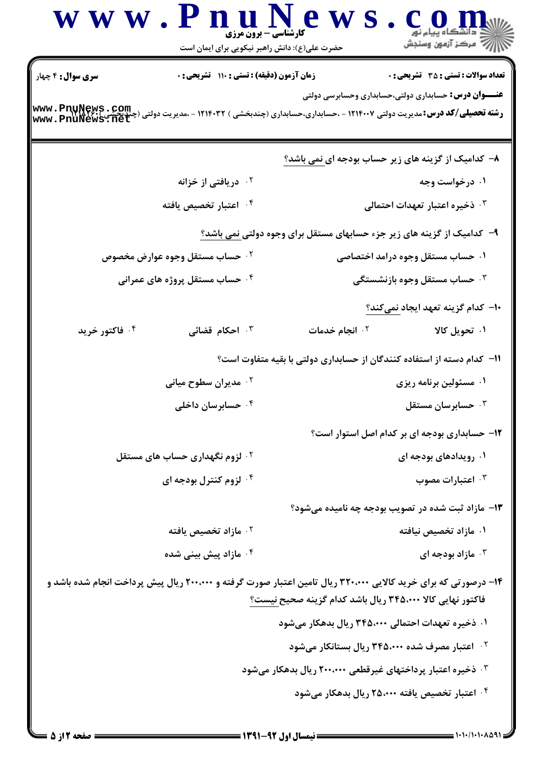|                          | www.PnuNew<br><b>کارشناسی - برون مرزی</b><br>حضرت علی(ع): دانش راهبر نیکویی برای ایمان است | أأأأ مركز آزمون وسنجش                                                                                                                                                        |
|--------------------------|--------------------------------------------------------------------------------------------|------------------------------------------------------------------------------------------------------------------------------------------------------------------------------|
| <b>سری سوال :</b> ۴ چهار | <b>زمان آزمون (دقیقه) : تستی : ۱۱۰ تشریحی : 0</b>                                          | <b>تعداد سوالات : تستی : 35 تشریحی : 0</b><br><b>عنـــوان درس:</b> حسابداری دولتی،حسابداری وحسابرسی دولتی                                                                    |
|                          |                                                                                            | <b>رشته تحصیلی/کد درس:</b> مدیریت دولتی ۱۲۱۴۰۰۷ - ،حسابداری،حسابداری (چندبخشی ) ۱۲۱۴۰۳۲ - ،مدیریت دولتی (چندبخشی ) www . PnuNews . Com<br>www . PnuNews . net                |
|                          |                                                                                            | ۸– کدامیک از گزینه های زیر حساب بودجه ای نمی باشد؟                                                                                                                           |
|                          | <sup>۲</sup> ۰ دریافتی از خزانه                                                            | ۰۱ درخواست وجه                                                                                                                                                               |
|                          | ۰۴ اعتبار تخصیص یافته                                                                      | ۰۳ ذخیره اعتبار تعهدات احتمالی                                                                                                                                               |
|                          |                                                                                            | ۹- کدامیک از گزینه های زیر جزء حسابهای مستقل برای وجوه دولتی <u>نمی باشد؟</u>                                                                                                |
|                          | ۰ <sup>۲</sup> حساب مستقل وجوه عوارض مخصوص                                                 | ۰۱ حساب مستقل وجوه درامد اختصاصی                                                                                                                                             |
|                          | ۰ <sup>۴</sup> حساب مستقل پروژه های عمرانی                                                 | ۰۳ حساب مستقل وجوه بازنشستگی                                                                                                                                                 |
|                          |                                                                                            | ۱۰– کدام گزینه تعهد ایجاد نمیکند؟                                                                                                                                            |
| ۰۴ فاکتور خرید           | ۰ <sup>۳</sup> احکام قضائی                                                                 | ۰۱ تحویل کالا<br>۰۲ انجام خدمات                                                                                                                                              |
|                          |                                                                                            | <b>۱۱– کدام دسته از استفاده کنندگان از حسابداری دولتی با بقیه متفاوت است</b> ؟                                                                                               |
|                          | ۰ <sup>۲</sup> مدیران سطوح میانی                                                           | ۰۱ مسئولین برنامه ریزی                                                                                                                                                       |
|                          | ۰ <sup>۴</sup> حسابرسان داخلی                                                              | جسابرسان مستقل $\cdot^{\texttt{w}}$                                                                                                                                          |
|                          |                                                                                            | ۱۲- حسابداری بودجه ای بر کدام اصل استوار است؟                                                                                                                                |
|                          | <sup>۲</sup> ۰ لزوم نگهداری حساب های مستقل                                                 | ۰۱ رویدادهای بودجه ای                                                                                                                                                        |
|                          | ۰۴ لزوم کنترل بودجه ای                                                                     | اعتبارات مصوب $\cdot$ "                                                                                                                                                      |
|                          |                                                                                            | ۱۳- مازاد ثبت شده در تصویب بودجه چه نامیده میشود؟                                                                                                                            |
|                          | ۰ <sup>۲</sup> مازاد تخصیص یافته                                                           | ۰۱ مازاد تخصیص نیافته                                                                                                                                                        |
|                          | ۰ <sup>۴</sup> مازاد پیش بینی شده                                                          | ا مازاد بودجه ای $\cdot$ ۳                                                                                                                                                   |
|                          |                                                                                            | ۱۴– درصورتی که برای خرید کالایی ۳۲۰،۰۰۰ ریال تامین اعتبار صورت گرفته و ۲۰۰،۰۰۰ ریال پیش پرداخت انجام شده باشد و<br>فاكتور نهايي كالا ۳۴۵،۰۰۰ ريال باشد كدام گزينه صحيح نيست؟ |
|                          |                                                                                            | ۰۱ ذخیره تعهدات احتمالی ۳۴۵،۰۰۰ ریال بدهکار میشود                                                                                                                            |
|                          |                                                                                            | <sup>۲.</sup> اعتبار مصرف شده ۳۴۵،۰۰۰ ریال بستانکار میشود                                                                                                                    |
|                          |                                                                                            | ۰ <sup>۳ .</sup> ذخیره اعتبار پرداختهای غیرقطعی ۲۰۰،۰۰۰ ریال بدهکار میشود                                                                                                    |
|                          |                                                                                            | ۰۴ اعتبار تخصیص یافته ۲۵،۰۰۰ ریال بدهکار میشود                                                                                                                               |
|                          |                                                                                            |                                                                                                                                                                              |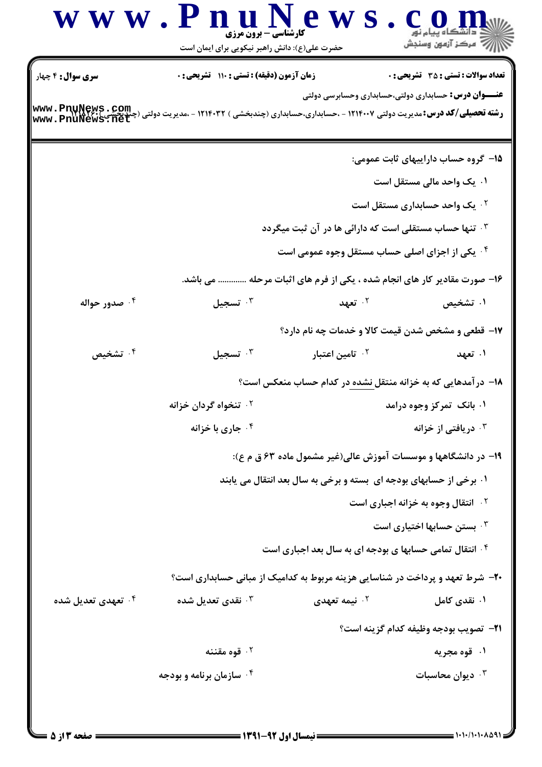|                                                                | www.PnuNews<br>کارشناسی - برون مرزی<br>حضرت علی(ع): دانش راهبر نیکویی برای ایمان است                                                                           |                                                                               | <u>د</u> دانشگاه پيام نور<br>أأآت مركز آزمون وسنجش                                                          |
|----------------------------------------------------------------|----------------------------------------------------------------------------------------------------------------------------------------------------------------|-------------------------------------------------------------------------------|-------------------------------------------------------------------------------------------------------------|
| <b>سری سوال :</b> ۴ چهار<br>www.Pnunews.com<br>www.PnuNews.net | <b>زمان آزمون (دقیقه) : تستی : ۱۱۰ تشریحی : 0</b><br><b>رشته تحصیلی/کد درس:</b> مدیریت دولتی ۱۲۱۴۰۰۷ - ،حسابداری،حسابداری (چندبخشی ) ۱۲۱۴۰۳۲ - ،مدیریت دولتی ( |                                                                               | <b>تعداد سوالات : تستی : 35 - تشریحی : 0</b><br><b>عنـــوان درس:</b> حسابداری دولتی،حسابداری وحسابرسی دولتی |
|                                                                |                                                                                                                                                                |                                                                               | ۱۵– گروه حساب داراییهای ثابت عمومی:                                                                         |
|                                                                |                                                                                                                                                                |                                                                               | ۰۱ یک واحد مالی مستقل است                                                                                   |
|                                                                |                                                                                                                                                                |                                                                               | <b>۰۲ یک واحد حسابداری مستقل است</b>                                                                        |
|                                                                |                                                                                                                                                                | ۱۳ تنها حساب مستقلی است که دارائی ها در آن ثبت میگردد                         |                                                                                                             |
|                                                                |                                                                                                                                                                | <sup>۴</sup> . یکی از اجزای اصلی حساب مستقل وجوه عمومی است                    |                                                                                                             |
|                                                                |                                                                                                                                                                | ۱۶- صورت مقادیر کار های انجام شده ، یکی از فرم های اثبات مرحله  می باشد.      |                                                                                                             |
| ۰ <sup>۴</sup> صدور حواله                                      | تسجيل $\cdot^{\mathsf{v}}$                                                                                                                                     | ۰۲ تعهد                                                                       | ۰۱ تشخیص                                                                                                    |
|                                                                |                                                                                                                                                                | ۱۷- قطعی و مشخص شدن قیمت کالا و خدمات چه نام دارد؟                            |                                                                                                             |
| ۰۴ تشخیص                                                       | تسجيل $\cdot$                                                                                                                                                  | ۰ <sup>۲</sup> تامین اعتبار                                                   | ۰۱ تعهد                                                                                                     |
|                                                                |                                                                                                                                                                | ۱۸– درآمدهایی که به خزانه منتقل نشده در کدام حساب منعکس است؟                  |                                                                                                             |
|                                                                | ۰ <sup>۲</sup> تنخواه گردان خزانه                                                                                                                              |                                                                               | ۰۱ بانک تمرکز وجوه درامد                                                                                    |
|                                                                | خاری با خزانه $\cdot$ ۴ $\cdot$                                                                                                                                |                                                                               | دریافتی از خزانه $\cdot^{\intercal}$                                                                        |
|                                                                |                                                                                                                                                                | ۱۹- در دانشگاهها و موسسات آموزش عالی(غیر مشمول ماده ۶۳ ق م ع):                |                                                                                                             |
|                                                                |                                                                                                                                                                | ۰۱ برخی از حسابهای بودجه ای بسته و برخی به سال بعد انتقال می یابند            |                                                                                                             |
|                                                                |                                                                                                                                                                |                                                                               | <b>10 انتقال وجوه به خزانه اجباری است</b>                                                                   |
|                                                                |                                                                                                                                                                |                                                                               | ۰۳ بستن حسابها اختیاری است $\cdot$                                                                          |
|                                                                |                                                                                                                                                                | <b>گ انتقال تمامی حسابها ی بودجه ای به سال بعد اجباری است</b>                 |                                                                                                             |
|                                                                |                                                                                                                                                                | ۲۰- شرط تعهد و پرداخت در شناسایی هزینه مربوط به کدامیک از مبانی حسابداری است؟ |                                                                                                             |
| ۰ <sup>۴</sup> تعهدی تعدیل شده                                 | نقدی تعدیل شده $\cdot^{\mathsf{w}}$                                                                                                                            | ۰ <sup>۲</sup> نیمه تعهدی                                                     | ۰۱ نقدی کامل                                                                                                |
|                                                                |                                                                                                                                                                |                                                                               | ٢١- تصويب بودجه وظيفه كدام گزينه است؟                                                                       |
|                                                                | قوه مقننه $\cdot$ ۲                                                                                                                                            |                                                                               | ۰۱ قوه مجریه                                                                                                |
|                                                                | ۰۴ سازمان برنامه و بودجه                                                                                                                                       |                                                                               | ديوان محاسبات $\cdot$                                                                                       |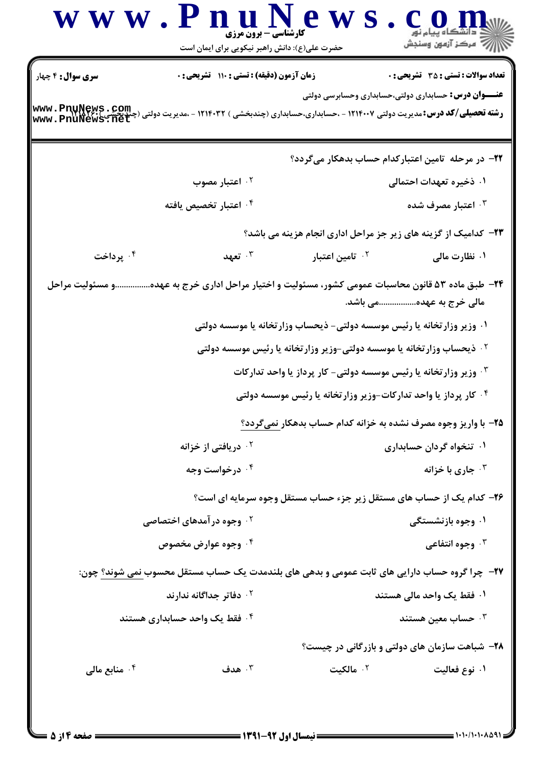|                           | حضرت علی(ع): دانش راهبر نیکویی برای ایمان است                                                                                                                  |                                                                                     | ڪ دانشگاه پيام نور<br>   > مرکز آزمون وسنڊش                 |
|---------------------------|----------------------------------------------------------------------------------------------------------------------------------------------------------------|-------------------------------------------------------------------------------------|-------------------------------------------------------------|
| <b>سری سوال :</b> ۴ چهار  | زمان آزمون (دقیقه) : تستی : ۱۱۰ تشریحی : ۰                                                                                                                     |                                                                                     | <b>تعداد سوالات : تستی : 35 ٪ تشریحی : 0</b>                |
|                           | <b>رشته تحصیلی/کد درس: مدیریت دولتی ۱۲۱۴۰۰۷ - ،حسابداری،حسابداری (چندبخشی ) ۱۲۱۴۰۳۲ - ،مدیریت دولتی (چندبخشی ) www . PnuNews . Com<br/>www . PnuNews . net</b> |                                                                                     | <b>عنـــوان درس:</b> حسابداری دولتی،حسابداری وحسابرسی دولتی |
|                           |                                                                                                                                                                | ۲۲– در مرحله تامین اعتبارکدام حساب بدهکار میگردد؟                                   |                                                             |
|                           | ۰ <sup>۲</sup> اعتبار مصوب                                                                                                                                     |                                                                                     | ۰۱ ذخیره تعهدات احتمالی                                     |
|                           | ۰ <sup>۴</sup> اعتبار تخصیص یافته                                                                                                                              |                                                                                     | ۰۳ اعتبار مصرف شده                                          |
|                           |                                                                                                                                                                | <b>۲۳</b> - کدامیک از گزینه های زیر جز مراحل اداری انجام هزینه می باشد؟             |                                                             |
| ۰۴ پرداخت                 | تعهد $\cdot^{\mathtt{w}}$                                                                                                                                      | <sup>۲.</sup> تامین اعتبار                                                          | ۰۱ نظارت مال <b>ی</b>                                       |
|                           | ۲۴– طبق ماده ۵۳ قانون محاسبات عمومی کشور، مسئولیت و اختیار مراحل اداری خرج به عهدهو مسئولیت مراحل                                                              |                                                                                     | مالی خرج به عهدهمی باشد.                                    |
|                           |                                                                                                                                                                | ۰۱ وزیر وزارتخانه یا رئیس موسسه دولتی- ذیحساب وزارتخانه یا موسسه دولتی              |                                                             |
|                           |                                                                                                                                                                | <sup>۲ .</sup> ذیحساب وزار تخانه یا موسسه دولتی-وزیر وزار تخانه یا رئیس موسسه دولتی |                                                             |
|                           |                                                                                                                                                                | ۰۳ وزیر وزارتخانه یا رئیس موسسه دولتی- کار پرداز یا واحد تدارکات                    |                                                             |
|                           |                                                                                                                                                                | ۰۴ کار پرداز یا واحد تدارکات-وزیر وزارتخانه یا رئیس موسسه دولتی                     |                                                             |
|                           |                                                                                                                                                                | ۲۵- با واریز وجوه مصرف نشده به خزانه کدام حساب بدهکار نمیگردد؟                      |                                                             |
|                           | ۰ <sup>۲</sup> دریافتی از خزانه                                                                                                                                |                                                                                     | ۰۱ تنخواه گردان حسابداری                                    |
|                           | ۰۴ درخواست وجه                                                                                                                                                 |                                                                                     | جاری با خزانه $\cdot^{\mathsf{y}}$                          |
|                           |                                                                                                                                                                | ۲۶- کدام یک از حساب های مستقل زیر جزء حساب مستقل وجوه سرمایه ای است؟                |                                                             |
|                           | <sup>۲ .</sup> وجوه در آمدهای اختصاصی                                                                                                                          |                                                                                     | ۰۱ وجوه بازنشستگی                                           |
|                           | ۰ <sup>۴</sup> وجوه عوارض مخصوص                                                                                                                                |                                                                                     | وجوه انتفاعي $\cdot^{\mathsf{r}}$                           |
|                           | <b>۲۷</b> - چرا گروه حساب دارایی های ثابت عمومی و بدهی های بلندمدت یک حساب مستقل محسوب نمی شوند؟ چون:                                                          |                                                                                     |                                                             |
|                           | ۰ <sup>۲</sup> دفاتر جداگانه ندارند                                                                                                                            |                                                                                     | ۰۱ فقط یک واحد مالی هستند                                   |
|                           | ۰۴ فقط یک واحد حسابداری هستند                                                                                                                                  |                                                                                     | حساب معين هستند $\cdot$                                     |
|                           |                                                                                                                                                                |                                                                                     | <b>۲۸</b> - شباهت سازمان های دولتی و بازرگانی در چیست؟      |
| ۰ <sup>۴</sup> منابع مالی | $\cdot^{\mathsf{r}}$ هدف                                                                                                                                       | ۰۲ مالکیت                                                                           | ۰۱ نوع فعالیت                                               |